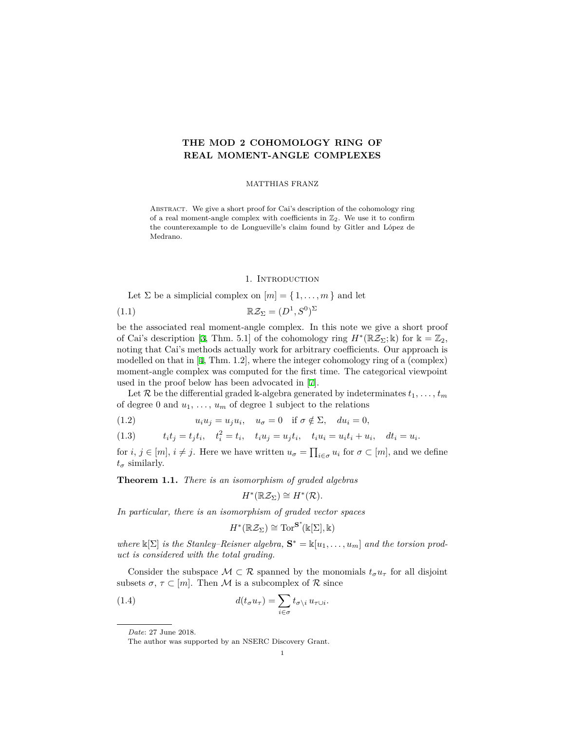# **THE MOD 2 COHOMOLOGY RING OF REAL MOMENT-ANGLE COMPLEXES**

MATTHIAS FRANZ

Abstract. We give a short proof for Cai's description of the cohomology ring of a real moment-angle complex with coefficients in  $\mathbb{Z}_2$ . We use it to confirm the counterexample to de Longueville's claim found by Gitler and López de Medrano.

#### 1. INTRODUCTION

Let  $\Sigma$  be a simplicial complex on  $[m] = \{1, \ldots, m\}$  and let

$$
(1.1) \t\t \mathbb{R}\mathcal{Z}_{\Sigma} = (D^1, S^0)^{\Sigma}
$$

be the associated real moment-angle complex. In this note we give a short proof of Cai's description [[3,](#page-6-0) Thm. 5.1] of the cohomology ring  $H^*(\mathbb{R}Z_{\Sigma}; \mathbb{k})$  for  $\mathbb{k} = \mathbb{Z}_2$ , noting that Cai's methods actually work for arbitrary coefficients. Our approach is modelled on that in [[4,](#page-6-1) Thm. 1.2], where the integer cohomology ring of a (complex) moment-angle complex was computed for the first time. The categorical viewpoint used in the proof below has been advocated in [\[7](#page-6-2)].

Let  $\mathcal{R}$  be the differential graded k-algebra generated by indeterminates  $t_1, \ldots, t_m$ of degree 0 and  $u_1, \ldots, u_m$  of degree 1 subject to the relations

<span id="page-0-1"></span> $u_i u_j = u_j u_i, \quad u_\sigma = 0 \quad \text{if } \sigma \notin \Sigma, \quad du_i = 0,$ 

(1.3) 
$$
t_i t_j = t_j t_i
$$
,  $t_i^2 = t_i$ ,  $t_i u_j = u_j t_i$ ,  $t_i u_i = u_i t_i + u_i$ ,  $dt_i = u_i$ .

for  $i, j \in [m], i \neq j$ . Here we have written  $u_{\sigma} = \prod_{i \in \sigma} u_i$  for  $\sigma \subset [m]$ , and we define  $t_{\sigma}$  similarly.

<span id="page-0-2"></span>**Theorem 1.1.** *There is an isomorphism of graded algebras*

$$
H^*(\mathbb{R}\mathcal{Z}_{\Sigma}) \cong H^*(\mathcal{R}).
$$

*In particular, there is an isomorphism of graded vector spaces*

<span id="page-0-0"></span>
$$
H^*(\mathbb{R}\mathcal{Z}_{\Sigma}) \cong \mathrm{Tor}^{\mathbf{S}^*}(\Bbbk[\Sigma],\Bbbk)
$$

*where*  $\mathbb{K}[\Sigma]$  *is the Stanley–Reisner algebra,*  $\mathbf{S}^* = \mathbb{K}[u_1, \dots, u_m]$  *and the torsion product is considered with the total grading.*

Consider the subspace  $M \subset \mathcal{R}$  spanned by the monomials  $t_{\sigma}u_{\tau}$  for all disjoint subsets  $\sigma$ ,  $\tau \subset [m]$ . Then M is a subcomplex of R since

(1.4) 
$$
d(t_{\sigma}u_{\tau}) = \sum_{i \in \sigma} t_{\sigma \setminus i} u_{\tau \cup i}.
$$

*Date*: 27 June 2018.

The author was supported by an NSERC Discovery Grant.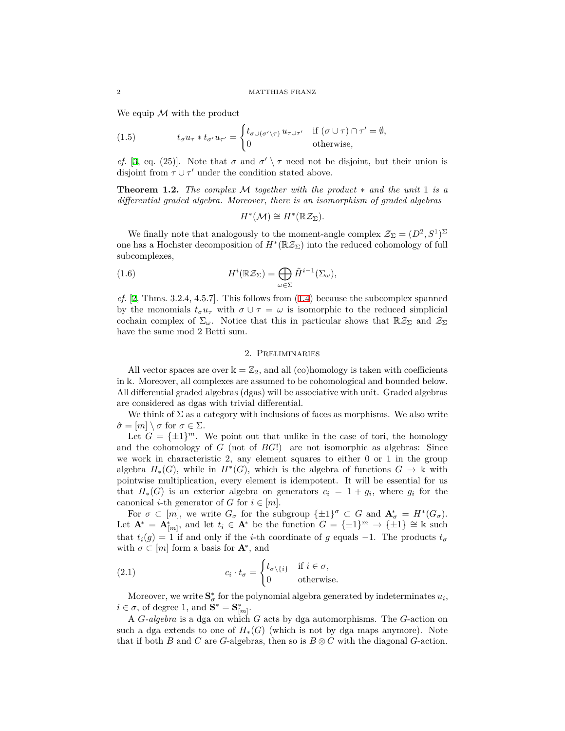We equip *M* with the product

<span id="page-1-3"></span>(1.5) 
$$
t_{\sigma}u_{\tau}*t_{\sigma'}u_{\tau'}=\begin{cases}t_{\sigma\cup(\sigma'\setminus\tau)}u_{\tau\cup\tau'}&\text{if }(\sigma\cup\tau)\cap\tau'=\emptyset,\\0&\text{otherwise,}\end{cases}
$$

*cf.* [\[3](#page-6-0), eq. (25)]. Note that  $\sigma$  and  $\sigma' \setminus \tau$  need not be disjoint, but their union is disjoint from  $\tau \cup \tau'$  under the condition stated above.

<span id="page-1-2"></span>**Theorem 1.2.** *The complex M together with the product ∗ and the unit* 1 *is a differential graded algebra. Moreover, there is an isomorphism of graded algebras*

$$
H^*(\mathcal{M}) \cong H^*(\mathbb{R} \mathcal{Z}_{\Sigma}).
$$

We finally note that analogously to the moment-angle complex  $\mathcal{Z}_{\Sigma} = (D^2, S^1)^{\Sigma}$ one has a Hochster decomposition of  $H^*(\mathbb{R} \mathcal{Z}_{\Sigma})$  into the reduced cohomology of full subcomplexes,

(1.6) 
$$
H^{i}(\mathbb{R}\mathcal{Z}_{\Sigma}) = \bigoplus_{\omega \in \Sigma} \tilde{H}^{i-1}(\Sigma_{\omega}),
$$

*cf.* [\[2](#page-6-3), Thms. 3.2.4, 4.5.7]. This follows from ([1.4\)](#page-0-0) because the subcomplex spanned by the monomials  $t_{\sigma}u_{\tau}$  with  $\sigma \cup \tau = \omega$  is isomorphic to the reduced simplicial cochain complex of  $\Sigma_{\omega}$ . Notice that this in particular shows that  $\mathbb{R} \mathcal{Z}_{\Sigma}$  and  $\mathcal{Z}_{\Sigma}$ have the same mod 2 Betti sum.

#### 2. Preliminaries

All vector spaces are over  $k = \mathbb{Z}_2$ , and all (co)homology is taken with coefficients in k. Moreover, all complexes are assumed to be cohomological and bounded below. All differential graded algebras (dgas) will be associative with unit. Graded algebras are considered as dgas with trivial differential.

We think of  $\Sigma$  as a category with inclusions of faces as morphisms. We also write  $\hat{\sigma} = [m] \setminus \sigma$  for  $\sigma \in \Sigma$ .

Let  $G = {\pm 1}^m$ . We point out that unlike in the case of tori, the homology and the cohomology of *G* (not of *BG*!) are not isomorphic as algebras: Since we work in characteristic 2, any element squares to either 0 or 1 in the group algebra  $H_*(G)$ , while in  $H^*(G)$ , which is the algebra of functions  $G \to \mathbb{k}$  with pointwise multiplication, every element is idempotent. It will be essential for us that  $H_*(G)$  is an exterior algebra on generators  $c_i = 1 + g_i$ , where  $g_i$  for the canonical *i*-th generator of *G* for  $i \in [m]$ .

For  $\sigma \subset [m]$ , we write  $G_{\sigma}$  for the subgroup  $\{\pm 1\}^{\sigma} \subset G$  and  $\mathbf{A}_{\sigma}^{*} = H^{*}(G_{\sigma})$ . Let  $\mathbf{A}^* = \mathbf{A}_{[m]}^*$ , and let  $t_i \in \mathbf{A}^*$  be the function  $G = {\pm 1}^m \to {\pm 1} \cong \mathbb{k}$  such that  $t_i(g) = 1$  if and only if the *i*-th coordinate of *g* equals  $-1$ . The products  $t_\sigma$ with  $\sigma \subset [m]$  form a basis for  $\mathbf{A}^*$ , and

<span id="page-1-1"></span>(2.1) 
$$
c_i \cdot t_\sigma = \begin{cases} t_{\sigma \setminus \{i\}} & \text{if } i \in \sigma, \\ 0 & \text{otherwise.} \end{cases}
$$

Moreover, we write  $S^*_{\sigma}$  for the polynomial algebra generated by indeterminates  $u_i$ ,  $i \in \sigma$ , of degree 1, and  $\mathbf{S}^* = \mathbf{S}_{[m]}^*$ .

<span id="page-1-0"></span>A *G-algebra* is a dga on which *G* acts by dga automorphisms. The *G*-action on such a dga extends to one of  $H_*(G)$  (which is not by dga maps anymore). Note that if both *B* and *C* are *G*-algebras, then so is  $B \otimes C$  with the diagonal *G*-action.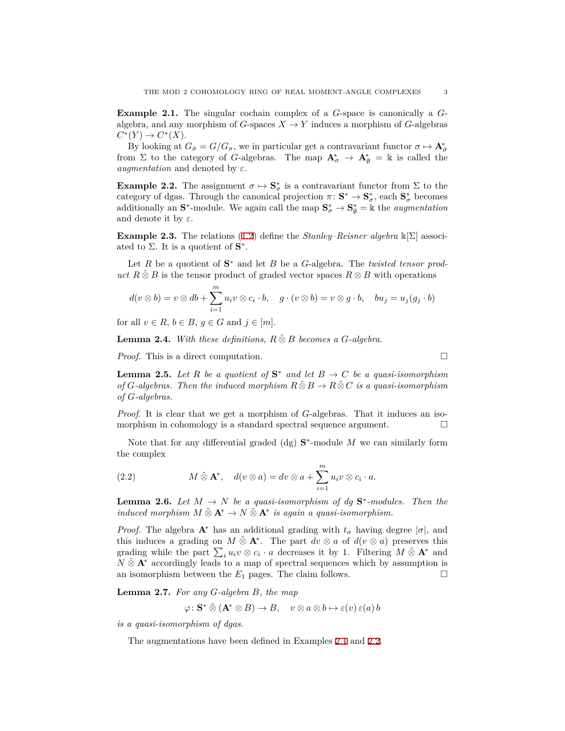**Example 2.1.** The singular cochain complex of a *G*-space is canonically a *G*algebra, and any morphism of *G*-spaces  $X \to Y$  induces a morphism of *G*-algebras  $C^*(Y) \to C^*(X)$ .

By looking at  $G_{\hat{\sigma}} = G/G_{\sigma}$ , we in particular get a contravariant functor  $\sigma \mapsto \mathbf{A}_{\hat{\sigma}}^*$ from  $\Sigma$  to the category of *G*-algebras. The map  $A^*_{\sigma} \to A^*_{\emptyset} = \mathbb{k}$  is called the *augmentation* and denoted by *ε*.

<span id="page-2-0"></span>**Example 2.2.** The assignment  $\sigma \mapsto \mathbf{S}_{\sigma}^{*}$  is a contravariant functor from  $\Sigma$  to the category of dgas. Through the canonical projection  $\pi: \mathbf{S}^* \to \mathbf{S}^*_{\sigma}$ , each  $\mathbf{S}^*_{\sigma}$  becomes additionally an  $S^*$ -module. We again call the map  $S^*_{\sigma} \to S^*_{\emptyset} = \Bbbk$  the *augmentation* and denote it by *ε*.

**Example 2.3.** The relations ([1.2\)](#page-0-1) define the *Stanley–Reisner algebra* k[Σ] associated to  $\Sigma$ . It is a quotient of  $S^*$ .

Let  $R$  be a quotient of  $S^*$  and let  $B$  be a  $G$ -algebra. The *twisted tensor product*  $R \tilde{\otimes} B$  is the tensor product of graded vector spaces  $R \otimes B$  with operations

$$
d(v \otimes b) = v \otimes db + \sum_{i=1}^{m} u_i v \otimes c_i \cdot b, \quad g \cdot (v \otimes b) = v \otimes g \cdot b, \quad bu_j = u_j(g_j \cdot b)
$$

for all  $v \in R$ ,  $b \in B$ ,  $g \in G$  and  $j \in [m]$ .

**Lemma 2.4.** *With these definitions,*  $R \tilde{\otimes} B$  *becomes a G-algebra.* 

*Proof.* This is a direct computation. □

<span id="page-2-1"></span>**Lemma 2.5.** Let R be a quotient of  $S^*$  and let  $B \to C$  be a quasi-isomorphism *of G*-algebras. Then the induced morphism  $R \tilde{\otimes} B \to R \tilde{\otimes} C$  *is a quasi-isomorphism of G-algebras.*

*Proof.* It is clear that we get a morphism of *G*-algebras. That it induces an isomorphism in cohomology is a standard spectral sequence argument.  $\Box$ 

Note that for any differential graded (dg)  $S^*$ -module M we can similarly form the complex

<span id="page-2-4"></span>(2.2) 
$$
M \tilde{\otimes} \mathbf{A}^*, \quad d(v \otimes a) = dv \otimes a + \sum_{i=1}^m u_i v \otimes c_i \cdot a.
$$

<span id="page-2-3"></span>**Lemma 2.6.** *Let*  $M \to N$  *be a quasi-isomorphism of dg*  $S^*$ -modules. Then the *induced morphism*  $M \tilde{\otimes} \mathbf{A}^* \to N \tilde{\otimes} \mathbf{A}^*$  *is again a quasi-isomorphism.* 

*Proof.* The algebra  $\mathbf{A}^*$  has an additional grading with  $t_\sigma$  having degree  $|\sigma|$ , and this induces a grading on  $M \tilde{\otimes} \mathbf{A}^*$ . The part  $dv \otimes a$  of  $d(v \otimes a)$  preserves this grading while the part  $\sum_i u_i v \otimes c_i \cdot a$  decreases it by 1. Filtering  $M \tilde{\otimes} \mathbf{A}^*$  and *N*  $\&$  **A**<sup>*\**</sup> accordingly leads to a map of spectral sequences which by assumption is an isomorphism between the  $E_1$  pages. The claim follows.  $\Box$ 

<span id="page-2-2"></span>**Lemma 2.7.** *For any G-algebra B, the map*

$$
\varphi \colon \mathbf{S}^* \tilde{\otimes} (\mathbf{A}^* \otimes B) \to B, \quad v \otimes a \otimes b \mapsto \varepsilon(v) \varepsilon(a) b
$$

*is a quasi-isomorphism of dgas.*

The augmentations have been defined in Examples [2.1](#page-1-0) and [2.2.](#page-2-0)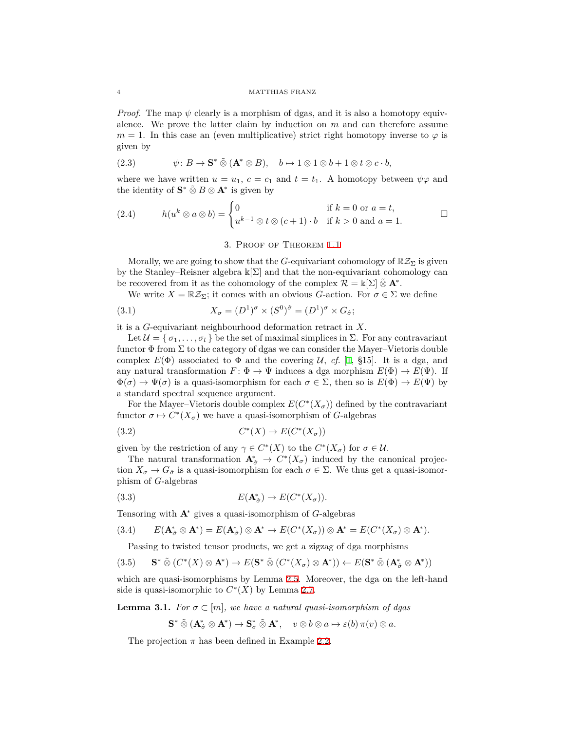*Proof.* The map  $\psi$  clearly is a morphism of dgas, and it is also a homotopy equivalence. We prove the latter claim by induction on *m* and can therefore assume  $m = 1$ . In this case an (even multiplicative) strict right homotopy inverse to  $\varphi$  is given by

(2.3) 
$$
\psi: B \to \mathbf{S}^* \tilde{\otimes} (\mathbf{A}^* \otimes B), \quad b \mapsto 1 \otimes 1 \otimes b + 1 \otimes t \otimes c \cdot b,
$$

where we have written  $u = u_1$ ,  $c = c_1$  and  $t = t_1$ . A homotopy between  $\psi \varphi$  and the identity of  $S^* \tilde{\otimes} B \otimes A^*$  is given by

(2.4) 
$$
h(u^k \otimes a \otimes b) = \begin{cases} 0 & \text{if } k = 0 \text{ or } a = t, \\ u^{k-1} \otimes t \otimes (c+1) \cdot b & \text{if } k > 0 \text{ and } a = 1. \end{cases}
$$

3. Proof of Theorem [1.1](#page-0-2)

Morally, we are going to show that the *G*-equivariant cohomology of  $\mathbb{R}Z_{\Sigma}$  is given by the Stanley–Reisner algebra  $\mathbb{k}[\Sigma]$  and that the non-equivariant cohomology can be recovered from it as the cohomology of the complex  $\mathcal{R} = \Bbbk[\Sigma] \tilde{\otimes} \mathbf{A}^*$ .

We write  $X = \mathbb{R}Z_{\Sigma}$ ; it comes with an obvious *G*-action. For  $\sigma \in \Sigma$  we define

(3.1) 
$$
X_{\sigma} = (D^1)^{\sigma} \times (S^0)^{\hat{\sigma}} = (D^1)^{\sigma} \times G_{\hat{\sigma}};
$$

it is a *G*-equivariant neighbourhood deformation retract in *X*.

Let  $\mathcal{U} = \{\sigma_1, \ldots, \sigma_l\}$  be the set of maximal simplices in  $\Sigma$ . For any contravariant functor  $\Phi$  from  $\Sigma$  to the category of dgas we can consider the Mayer–Vietoris double complex  $E(\Phi)$  associated to  $\Phi$  and the covering *U*, *cf.* [[1,](#page-6-4) §15]. It is a dga, and any natural transformation  $F: \Phi \to \Psi$  induces a dga morphism  $E(\Phi) \to E(\Psi)$ . If  $\Phi(\sigma) \to \Psi(\sigma)$  is a quasi-isomorphism for each  $\sigma \in \Sigma$ , then so is  $E(\Phi) \to E(\Psi)$  by a standard spectral sequence argument.

For the Mayer–Vietoris double complex  $E(C^*(X_{\sigma}))$  defined by the contravariant functor  $\sigma \mapsto C^*(X_{\sigma})$  we have a quasi-isomorphism of *G*-algebras

$$
(3.2)\t\t C^*(X) \to E(C^*(X_{\sigma}))
$$

given by the restriction of any  $\gamma \in C^*(X)$  to the  $C^*(X_{\sigma})$  for  $\sigma \in \mathcal{U}$ .

The natural transformation  $\mathbf{A}_{\hat{\sigma}}^* \to C^*(X_{\sigma})$  induced by the canonical projection  $X_{\sigma} \to G_{\hat{\sigma}}$  is a quasi-isomorphism for each  $\sigma \in \Sigma$ . We thus get a quasi-isomorphism of *G*-algebras

(3.3) 
$$
E(\mathbf{A}_{\hat{\sigma}}^*) \to E(C^*(X_{\sigma})).
$$

Tensoring with **A***<sup>∗</sup>* gives a quasi-isomorphism of *G*-algebras

$$
(3.4) \qquad E(\mathbf{A}_{\hat{\sigma}}^* \otimes \mathbf{A}^*) = E(\mathbf{A}_{\hat{\sigma}}^*) \otimes \mathbf{A}^* \to E(C^*(X_{\sigma})) \otimes \mathbf{A}^* = E(C^*(X_{\sigma}) \otimes \mathbf{A}^*).
$$

Passing to twisted tensor products, we get a zigzag of dga morphisms

$$
(3.5) \qquad \mathbf{S}^* \tilde{\otimes} \left( C^*(X) \otimes \mathbf{A}^* \right) \to E(\mathbf{S}^* \tilde{\otimes} \left( C^*(X_{\sigma}) \otimes \mathbf{A}^* \right)) \leftarrow E(\mathbf{S}^* \tilde{\otimes} \left( \mathbf{A}_{\hat{\sigma}}^* \otimes \mathbf{A}^* \right))
$$

which are quasi-isomorphisms by Lemma [2.5](#page-2-1). Moreover, the dga on the left-hand side is quasi-isomorphic to  $C^*(X)$  by Lemma [2.7.](#page-2-2)

**Lemma 3.1.** *For*  $\sigma \subset [m]$ *, we have a natural quasi-isomorphism of dgas* 

$$
\mathbf{S}^* \mathbin{\tilde{\otimes}} (\mathbf{A}_{\hat{\sigma}}^* \otimes \mathbf{A}^*) \to \mathbf{S}_{\sigma}^* \mathbin{\tilde{\otimes}} \mathbf{A}^*, \quad v \otimes b \otimes a \mapsto \varepsilon(b) \, \pi(v) \otimes a.
$$

The projection  $\pi$  has been defined in Example [2.2.](#page-2-0)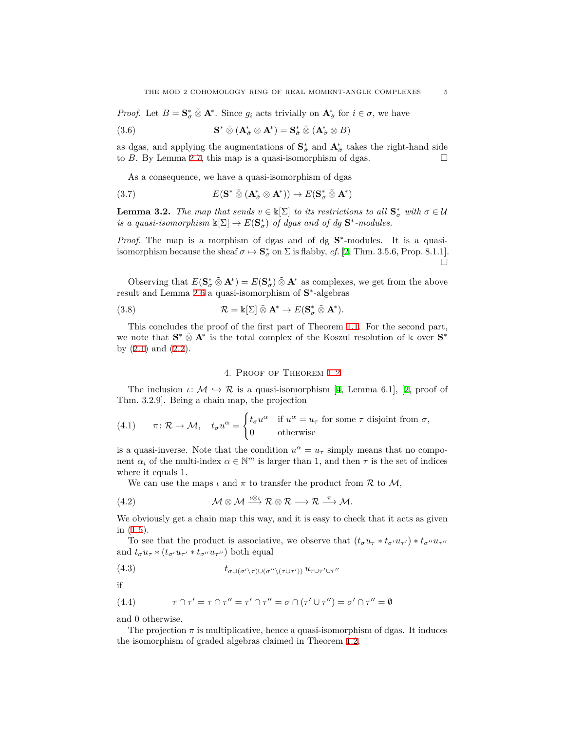*Proof.* Let  $B = \mathbf{S}_{\sigma}^* \tilde{\otimes} \mathbf{A}^*$ . Since  $g_i$  acts trivially on  $\mathbf{A}_{\hat{\sigma}}^*$  for  $i \in \sigma$ , we have

(3.6) 
$$
\mathbf{S}^* \tilde{\otimes} (\mathbf{A}_{\hat{\sigma}}^* \otimes \mathbf{A}^*) = \mathbf{S}_{\hat{\sigma}}^* \tilde{\otimes} (\mathbf{A}_{\hat{\sigma}}^* \otimes B)
$$

as dgas, and applying the augmentations of  $S^*_{\hat{\sigma}}$  and  $A^*_{\hat{\sigma}}$  takes the right-hand side to *B*. By Lemma [2.7](#page-2-2), this map is a quasi-isomorphism of dgas.  $\Box$ 

As a consequence, we have a quasi-isomorphism of dgas

(3.7) 
$$
E(\mathbf{S}^* \tilde{\otimes} (\mathbf{A}_{\hat{\sigma}}^* \otimes \mathbf{A}^*)) \to E(\mathbf{S}_{\sigma}^* \tilde{\otimes} \mathbf{A}^*)
$$

**Lemma 3.2.** *The map that sends*  $v \in \mathbb{k}[\Sigma]$  *to its restrictions to all*  $\mathbf{S}_{\sigma}^{*}$  *with*  $\sigma \in \mathcal{U}$ *is a quasi-isomorphism*  $\mathbb{k}[\Sigma] \to E(\mathbf{S}^*_{\sigma})$  *of dgas and of dg*  $\mathbf{S}^*$ -modules.

*Proof.* The map is a morphism of dgas and of dg  $S^*$ -modules. It is a quasiisomorphism because the sheaf  $\sigma \mapsto \mathbf{S}_{\sigma}^{*}$  on  $\Sigma$  is flabby, *cf.* [[2,](#page-6-3) Thm. 3.5.6, Prop. 8.1.1]. □

Observing that  $E(S^*_{\sigma} \tilde{\otimes} \mathbf{A}^*) = E(S^*_{\sigma}) \tilde{\otimes} \mathbf{A}^*$  as complexes, we get from the above result and Lemma [2.6](#page-2-3) a quasi-isomorphism of **S** *∗* -algebras

(3.8) 
$$
\mathcal{R} = \mathbb{k}[\Sigma] \tilde{\otimes} \mathbf{A}^* \to E(\mathbf{S}^*_{\sigma} \tilde{\otimes} \mathbf{A}^*).
$$

This concludes the proof of the first part of Theorem [1.1.](#page-0-2) For the second part, we note that **S** *<sup>∗</sup> ⊗*˜ **A***<sup>∗</sup>* is the total complex of the Koszul resolution of k over **S** *∗* by  $(2.1)$  $(2.1)$  and  $(2.2)$  $(2.2)$  $(2.2)$ .

#### 4. Proof of Theorem [1.2](#page-1-2)

The inclusion  $\iota: \mathcal{M} \hookrightarrow \mathcal{R}$  is a quasi-isomorphism [[4,](#page-6-1) Lemma 6.1], [\[2](#page-6-3), proof of Thm. 3.2.9]. Being a chain map, the projection

(4.1) 
$$
\pi \colon \mathcal{R} \to \mathcal{M}, \quad t_{\sigma} u^{\alpha} = \begin{cases} t_{\sigma} u^{\alpha} & \text{if } u^{\alpha} = u_{\tau} \text{ for some } \tau \text{ disjoint from } \sigma, \\ 0 & \text{otherwise} \end{cases}
$$

is a quasi-inverse. Note that the condition  $u^{\alpha} = u_{\tau}$  simply means that no component  $\alpha_i$  of the multi-index  $\alpha \in \mathbb{N}^m$  is larger than 1, and then  $\tau$  is the set of indices where it equals 1.

We can use the maps  $\iota$  and  $\pi$  to transfer the product from  $\mathcal R$  to  $\mathcal M$ ,

(4.2) 
$$
\mathcal{M} \otimes \mathcal{M} \stackrel{\iota \otimes \iota}{\longrightarrow} \mathcal{R} \otimes \mathcal{R} \longrightarrow \mathcal{R} \stackrel{\pi}{\longrightarrow} \mathcal{M}.
$$

We obviously get a chain map this way, and it is easy to check that it acts as given in [\(1.5\)](#page-1-3).

To see that the product is associative, we observe that  $(t_{\sigma}u_{\tau}*t_{\sigma'}u_{\tau'})*t_{\sigma''}u_{\tau''}$ and  $t_{\sigma}u_{\tau} * (t_{\sigma'}u_{\tau'} * t_{\sigma''}u_{\tau''})$  both equal

$$
(4.3) \t t_{\sigma \cup (\sigma' \setminus \tau) \cup (\sigma'' \setminus (\tau \cup \tau'))} u_{\tau \cup \tau' \cup \tau''}
$$

if

(4.4) 
$$
\tau \cap \tau' = \tau \cap \tau'' = \tau' \cap \tau'' = \sigma \cap (\tau' \cup \tau'') = \sigma' \cap \tau'' = \emptyset
$$

and 0 otherwise.

The projection  $\pi$  is multiplicative, hence a quasi-isomorphism of dgas. It induces the isomorphism of graded algebras claimed in Theorem [1.2.](#page-1-2)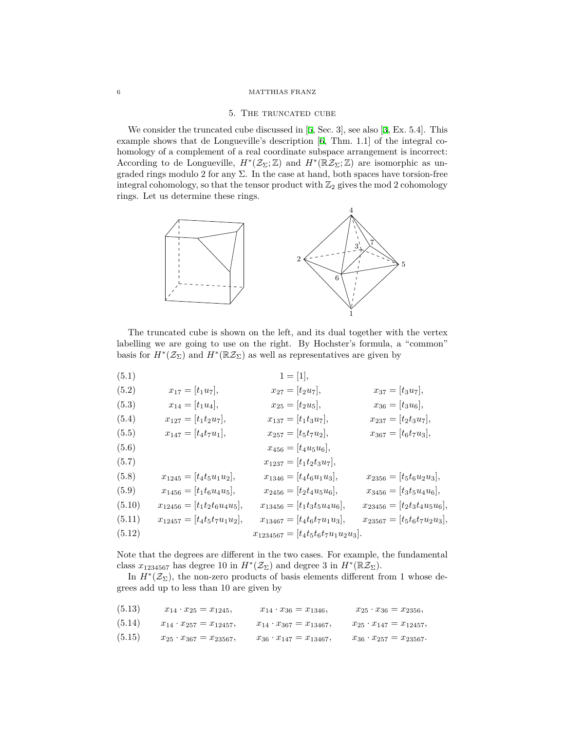#### 6 MATTHIAS FRANZ

#### 5. The truncated cube

We consider the truncated cube discussed in [[5](#page-6-5), Sec. 3], see also [\[3](#page-6-0), Ex. 5.4]. This example shows that de Longueville's description [[6,](#page-6-6) Thm. 1.1] of the integral cohomology of a complement of a real coordinate subspace arrangement is incorrect: According to de Longueville,  $H^*(\mathcal{Z}_{\Sigma}; \mathbb{Z})$  and  $H^*(\mathbb{R}\mathcal{Z}_{\Sigma}; \mathbb{Z})$  are isomorphic as ungraded rings modulo 2 for any  $\Sigma$ . In the case at hand, both spaces have torsion-free integral cohomology, so that the tensor product with  $\mathbb{Z}_2$  gives the mod 2 cohomology rings. Let us determine these rings.



The truncated cube is shown on the left, and its dual together with the vertex labelling we are going to use on the right. By Hochster's formula, a "common" basis for  $H^*(\mathcal{Z}_{\Sigma})$  and  $H^*(\mathbb{R}\mathcal{Z}_{\Sigma})$  as well as representatives are given by

| (5.1)  |                                      | $1 = [1],$                               |                                  |
|--------|--------------------------------------|------------------------------------------|----------------------------------|
| (5.2)  | $x_{17} = [t_1u_7],$                 | $x_{27} = [t_2u_7],$                     | $x_{37} = [t_3u_7],$             |
| (5.3)  | $x_{14} = [t_1 u_4],$                | $x_{25} = [t_2 u_5],$                    | $x_{36} = [t_3u_6],$             |
| (5.4)  | $x_{127} = [t_1 t_2 u_7],$           | $x_{137} = [t_1t_3u_7],$                 | $x_{237} = [t_2t_3u_7],$         |
| (5.5)  | $x_{147} = [t_4t_7u_1],$             | $x_{257} = [t_5t_7u_2],$                 | $x_{367} = [t_6 t_7 u_3],$       |
| (5.6)  |                                      | $x_{456} = [t_4u_5u_6],$                 |                                  |
| (5.7)  |                                      | $x_{1237} = [t_1t_2t_3u_7],$             |                                  |
| (5.8)  | $x_{1245} = [t_4t_5u_1u_2],$         | $x_{1346} = [t_4t_6u_1u_3],$             | $x_{2356} = [t_5t_6u_2u_3],$     |
| (5.9)  | $x_{1456} = [t_1 t_6 u_4 u_5],$      | $x_{2456} = [t_2 t_4 u_5 u_6],$          | $x_{3456} = [t_3t_5u_4u_6],$     |
| (5.10) | $x_{12456} = [t_1 t_2 t_6 u_4 u_5],$ | $x_{13456} = [t_1t_3t_5u_4u_6],$         | $x_{23456} = [t_2t_3t_4u_5u_6],$ |
| (5.11) | $x_{12457} = [t_4t_5t_7u_1u_2],$     | $x_{13467} = [t_4t_6t_7u_1u_3],$         | $x_{23567} = [t_5t_6t_7u_2u_3],$ |
| (5.12) |                                      | $x_{1234567} = [t_4t_5t_6t_7u_1u_2u_3].$ |                                  |

Note that the degrees are different in the two cases. For example, the fundamental class  $x_{1234567}$  has degree 10 in  $H^*(\mathcal{Z}_{\Sigma})$  and degree 3 in  $H^*(\mathbb{R}\mathcal{Z}_{\Sigma})$ .

In  $H^*(\mathcal{Z}_\Sigma)$ , the non-zero products of basis elements different from 1 whose degrees add up to less than 10 are given by

| (5.13) | $x_{14} \cdot x_{25} = x_{1245},$   | $x_{14} \cdot x_{36} = x_{1346},$   | $x_{25} \cdot x_{36} = x_{2356},$    |
|--------|-------------------------------------|-------------------------------------|--------------------------------------|
| (5.14) | $x_{14} \cdot x_{257} = x_{12457},$ | $x_{14} \cdot x_{367} = x_{13467},$ | $x_{25} \cdot x_{147} = x_{12457},$  |
| (5.15) | $x_{25} \cdot x_{367} = x_{23567},$ | $x_{36} \cdot x_{147} = x_{13467}$  | $x_{36} \cdot x_{257} = x_{23567}$ . |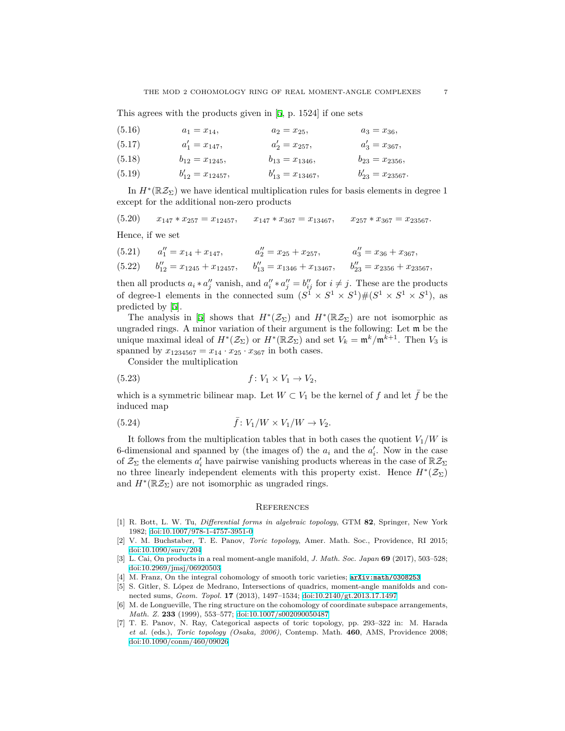This agrees with the products given in [[5,](#page-6-5) p. 1524] if one sets

| (5.16) | $a_1 = x_{14},$        | $a_2 = x_{25}$ ,       | $a_3 = x_{36}$ ,       |
|--------|------------------------|------------------------|------------------------|
| (5.17) | $a'_1 = x_{147}$ ,     | $a'_2=x_{257},$        | $a'_3 = x_{367},$      |
| (5.18) | $b_{12}=x_{1245},$     | $b_{13} = x_{1346},$   | $b_{23}=x_{2356},$     |
| (5.19) | $b'_{12} = x_{12457},$ | $b'_{13} = x_{13467},$ | $b'_{23} = x_{23567}.$ |

In  $H^*(\mathbb{R} \mathcal{Z}_{\Sigma})$  we have identical multiplication rules for basis elements in degree 1 except for the additional non-zero products

### $(x, 5.20)$   $x_{147} * x_{257} = x_{12457},$   $x_{147} * x_{367} = x_{13467},$   $x_{257} * x_{367} = x_{23567}.$

Hence, if we set

| $(5.21)$ $a_1'' = x_{14} + x_{147}$ ,                                                                                | $a_2'' = x_{25} + x_{257}$ | $a_3'' = x_{36} + x_{367}$ |
|----------------------------------------------------------------------------------------------------------------------|----------------------------|----------------------------|
| $(5.22)$ $b_{12}'' = x_{1245} + x_{12457}$ , $b_{13}'' = x_{1346} + x_{13467}$ , $b_{23}'' = x_{2356} + x_{23567}$ , |                            |                            |

then all products  $a_i * a''_j$  vanish, and  $a''_i * a''_j = b''_{ij}$  for  $i \neq j$ . These are the products of degree-1 elements in the connected sum  $(S^1 \times S^1 \times S^1) \# (S^1 \times S^1 \times S^1)$ , as predicted by [[5](#page-6-5)].

The analysis in [\[5](#page-6-5)] shows that  $H^*(\mathcal{Z}_{\Sigma})$  and  $H^*(\mathbb{R}\mathcal{Z}_{\Sigma})$  are not isomorphic as ungraded rings. A minor variation of their argument is the following: Let m be the unique maximal ideal of  $H^*(\mathcal{Z}_{\Sigma})$  or  $H^*(\mathbb{R}\mathcal{Z}_{\Sigma})$  and set  $V_k = \mathfrak{m}^k/\mathfrak{m}^{k+1}$ . Then  $V_3$  is spanned by  $x_{1234567} = x_{14} \cdot x_{25} \cdot x_{367}$  in both cases.

Consider the multiplication

$$
(5.23) \t\t f: V_1 \times V_1 \to V_2,
$$

which is a symmetric bilinear map. Let  $W \subset V_1$  be the kernel of  $f$  and let  $\bar{f}$  be the induced map

(5.24) 
$$
\bar{f}: V_1/W \times V_1/W \to V_2.
$$

It follows from the multiplication tables that in both cases the quotient  $V_1/W$  is 6-dimensional and spanned by (the images of) the  $a_i$  and the  $a'_i$ . Now in the case of  $\mathcal{Z}_{\Sigma}$  the elements  $a'_{i}$  have pairwise vanishing products whereas in the case of  $\mathbb{R} \mathcal{Z}_{\Sigma}$ no three linearly independent elements with this property exist. Hence  $H^*(\mathcal{Z}_{\Sigma})$ and  $H^*(\mathbb{R}\mathcal{Z}_{\Sigma})$  are not isomorphic as ungraded rings.

#### **REFERENCES**

- <span id="page-6-4"></span>[1] R. Bott, L. W. Tu, *Differential forms in algebraic topology*, GTM **82**, Springer, New York 1982; [doi:10.1007/978-1-4757-3951-0](http://dx.doi.org/10.1007/978-1-4757-3951-0)
- <span id="page-6-3"></span>[2] V. M. Buchstaber, T. E. Panov, *Toric topology*, Amer. Math. Soc., Providence, RI 2015; [doi:10.1090/surv/204](http://dx.doi.org/10.1090/surv/204)
- <span id="page-6-0"></span>[3] L. Cai, On products in a real moment-angle manifold, *J. Math. Soc. Japan* **69** (2017), 503–528; [doi:10.2969/jmsj/06920503](http://dx.doi.org/10.2969/jmsj/06920503)
- <span id="page-6-1"></span>[4] M. Franz, On the integral cohomology of smooth toric varieties;  $arXiv:math/0308253$
- <span id="page-6-5"></span>[5] S. Gitler, S. López de Medrano, Intersections of quadrics, moment-angle manifolds and connected sums, *Geom. Topol.* **17** (2013), 1497–1534; [doi:10.2140/gt.2013.17.1497](http://dx.doi.org/10.2140/gt.2013.17.1497)
- <span id="page-6-6"></span>[6] M. de Longueville, The ring structure on the cohomology of coordinate subspace arrangements, *Math. Z.* **233** (1999), 553–577; [doi:10.1007/s002090050487](http://dx.doi.org/10.1007/s002090050487)
- <span id="page-6-2"></span>[7] T. E. Panov, N. Ray, Categorical aspects of toric topology, pp. 293–322 in: M. Harada *et al.* (eds.), *Toric topology (Osaka, 2006)*, Contemp. Math. **460**, AMS, Providence 2008; [doi:10.1090/conm/460/09026](http://dx.doi.org/10.1090/conm/460/09026)